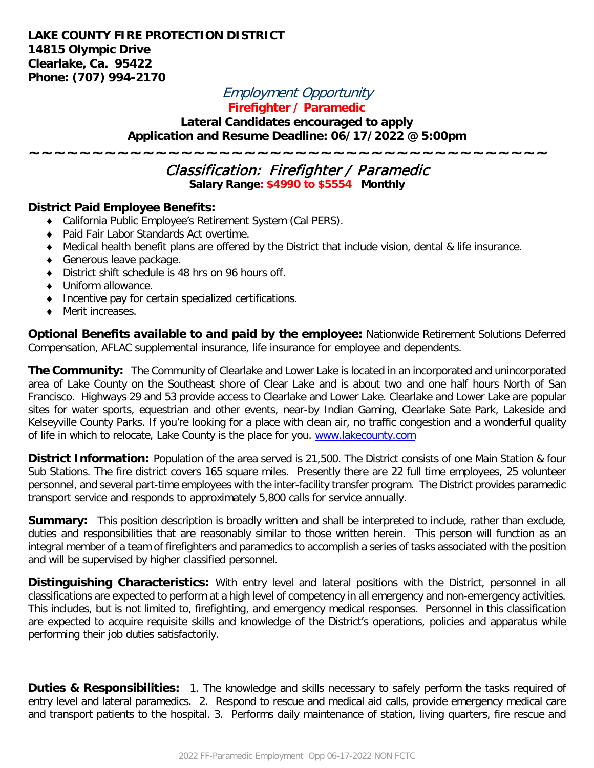## **LAKE COUNTY FIRE PROTECTION DISTRICT 14815 Olympic Drive Clearlake, Ca. 95422 Phone: (707) 994-2170**

# Employment Opportunity

# **Firefighter / Paramedic**

#### **Lateral Candidates encouraged to apply Application and Resume Deadline: 06/17/2022 @ 5:00pm**

**~~~~~~~~~~~~~~~~~~~~~~~~~~~~~~~~~~~~~~~~~**

# Classification: Firefighter / Paramedic **Salary Range: \$4990 to \$5554 Monthly**

### **District Paid Employee Benefits:**

- ♦ California Public Employee's Retirement System (Cal PERS).
- ♦ Paid Fair Labor Standards Act overtime.
- ♦ Medical health benefit plans are offered by the District that include vision, dental & life insurance.
- ♦ Generous leave package.
- ♦ District shift schedule is 48 hrs on 96 hours off.
- ♦ Uniform allowance.
- ♦ Incentive pay for certain specialized certifications.
- ♦ Merit increases.

**Optional Benefits available to and paid by the employee:** Nationwide Retirement Solutions Deferred Compensation, AFLAC supplemental insurance, life insurance for employee and dependents.

**The Community:** The Community of Clearlake and Lower Lake is located in an incorporated and unincorporated area of Lake County on the Southeast shore of Clear Lake and is about two and one half hours North of San Francisco. Highways 29 and 53 provide access to Clearlake and Lower Lake. Clearlake and Lower Lake are popular sites for water sports, equestrian and other events, near-by Indian Gaming, Clearlake Sate Park, Lakeside and Kelseyville County Parks. If you're looking for a place with clean air, no traffic congestion and a wonderful quality of life in which to relocate, Lake County is the place for you. [www.lakecounty.com](http://www.lakecounty.com/)

**District Information:** Population of the area served is 21,500. The District consists of one Main Station & four Sub Stations. The fire district covers 165 square miles. Presently there are 22 full time employees, 25 volunteer personnel, and several part-time employees with the inter-facility transfer program. The District provides paramedic transport service and responds to approximately 5,800 calls for service annually.

**Summary:** This position description is broadly written and shall be interpreted to include, rather than exclude, duties and responsibilities that are reasonably similar to those written herein. This person will function as an integral member of a team of firefighters and paramedics to accomplish a series of tasks associated with the position and will be supervised by higher classified personnel.

**Distinguishing Characteristics:** With entry level and lateral positions with the District, personnel in all classifications are expected to perform at a high level of competency in all emergency and non-emergency activities. This includes, but is not limited to, firefighting, and emergency medical responses. Personnel in this classification are expected to acquire requisite skills and knowledge of the District's operations, policies and apparatus while performing their job duties satisfactorily.

**Duties & Responsibilities:** 1. The knowledge and skills necessary to safely perform the tasks required of entry level and lateral paramedics. 2. Respond to rescue and medical aid calls, provide emergency medical care and transport patients to the hospital. 3. Performs daily maintenance of station, living quarters, fire rescue and